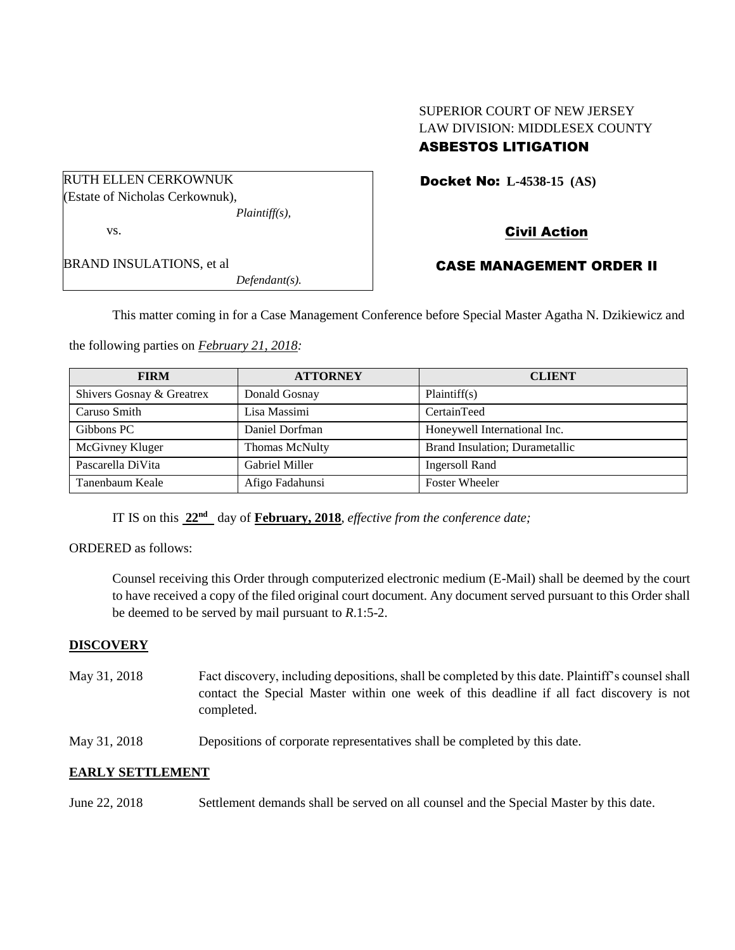# SUPERIOR COURT OF NEW JERSEY LAW DIVISION: MIDDLESEX COUNTY

# ASBESTOS LITIGATION

Docket No: **L-4538-15 (AS)** 

Civil Action

BRAND INSULATIONS, et al *Defendant(s).*

RUTH ELLEN CERKOWNUK (Estate of Nicholas Cerkownuk),

vs.

# CASE MANAGEMENT ORDER II

This matter coming in for a Case Management Conference before Special Master Agatha N. Dzikiewicz and

the following parties on *February 21, 2018:*

*Plaintiff(s),*

| <b>FIRM</b>               | <b>ATTORNEY</b>       | <b>CLIENT</b>                  |
|---------------------------|-----------------------|--------------------------------|
| Shivers Gosnay & Greatrex | Donald Gosnay         | Plaintiff(s)                   |
| Caruso Smith              | Lisa Massimi          | CertainTeed                    |
| Gibbons PC                | Daniel Dorfman        | Honeywell International Inc.   |
| McGivney Kluger           | Thomas McNulty        | Brand Insulation; Durametallic |
| Pascarella DiVita         | <b>Gabriel Miller</b> | Ingersoll Rand                 |
| Tanenbaum Keale           | Afigo Fadahunsi       | <b>Foster Wheeler</b>          |

IT IS on this  $22<sup>nd</sup>$  day of **February, 2018**, *effective from the conference date*;

#### ORDERED as follows:

Counsel receiving this Order through computerized electronic medium (E-Mail) shall be deemed by the court to have received a copy of the filed original court document. Any document served pursuant to this Order shall be deemed to be served by mail pursuant to *R*.1:5-2.

#### **DISCOVERY**

- May 31, 2018 Fact discovery, including depositions, shall be completed by this date. Plaintiff's counsel shall contact the Special Master within one week of this deadline if all fact discovery is not completed.
- May 31, 2018 Depositions of corporate representatives shall be completed by this date.

# **EARLY SETTLEMENT**

June 22, 2018 Settlement demands shall be served on all counsel and the Special Master by this date.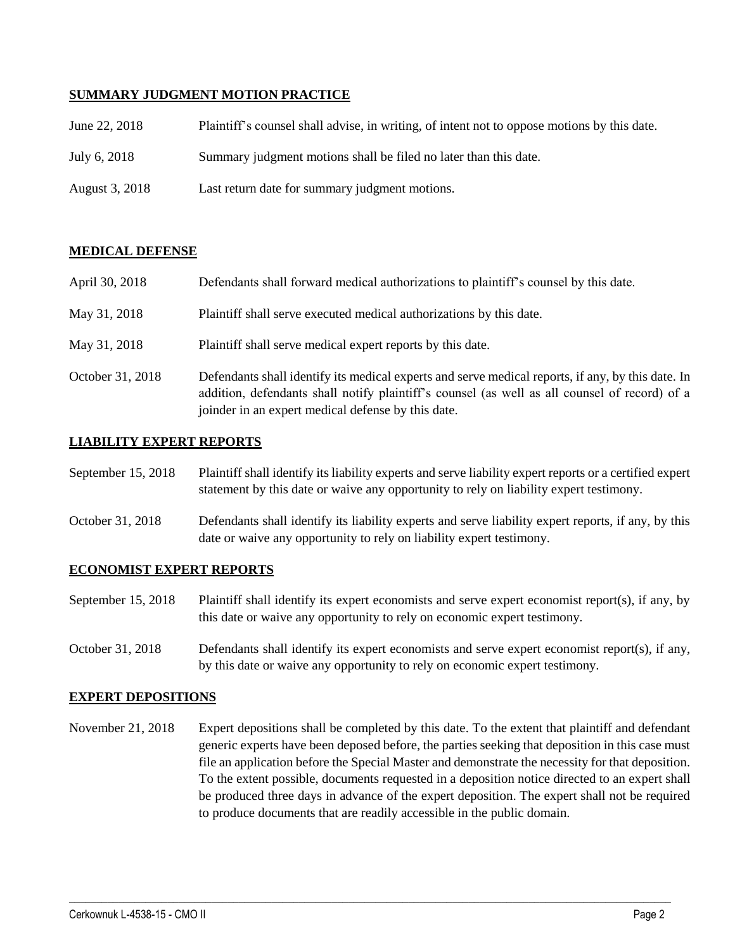### **SUMMARY JUDGMENT MOTION PRACTICE**

| June 22, 2018  | Plaintiff's counsel shall advise, in writing, of intent not to oppose motions by this date. |
|----------------|---------------------------------------------------------------------------------------------|
| July 6, 2018   | Summary judgment motions shall be filed no later than this date.                            |
| August 3, 2018 | Last return date for summary judgment motions.                                              |

### **MEDICAL DEFENSE**

| April 30, 2018   | Defendants shall forward medical authorizations to plaintiff's counsel by this date.                                                                                                                                                                     |
|------------------|----------------------------------------------------------------------------------------------------------------------------------------------------------------------------------------------------------------------------------------------------------|
| May 31, 2018     | Plaintiff shall serve executed medical authorizations by this date.                                                                                                                                                                                      |
| May 31, 2018     | Plaintiff shall serve medical expert reports by this date.                                                                                                                                                                                               |
| October 31, 2018 | Defendants shall identify its medical experts and serve medical reports, if any, by this date. In<br>addition, defendants shall notify plaintiff's counsel (as well as all counsel of record) of a<br>joinder in an expert medical defense by this date. |

### **LIABILITY EXPERT REPORTS**

| September 15, 2018 | Plaintiff shall identify its liability experts and serve liability expert reports or a certified expert |
|--------------------|---------------------------------------------------------------------------------------------------------|
|                    | statement by this date or waive any opportunity to rely on liability expert testimony.                  |

# October 31, 2018 Defendants shall identify its liability experts and serve liability expert reports, if any, by this date or waive any opportunity to rely on liability expert testimony.

#### **ECONOMIST EXPERT REPORTS**

September 15, 2018 Plaintiff shall identify its expert economists and serve expert economist report(s), if any, by this date or waive any opportunity to rely on economic expert testimony.

October 31, 2018 Defendants shall identify its expert economists and serve expert economist report(s), if any, by this date or waive any opportunity to rely on economic expert testimony.

#### **EXPERT DEPOSITIONS**

November 21, 2018 Expert depositions shall be completed by this date. To the extent that plaintiff and defendant generic experts have been deposed before, the parties seeking that deposition in this case must file an application before the Special Master and demonstrate the necessity for that deposition. To the extent possible, documents requested in a deposition notice directed to an expert shall be produced three days in advance of the expert deposition. The expert shall not be required to produce documents that are readily accessible in the public domain.

 $\_$  ,  $\_$  ,  $\_$  ,  $\_$  ,  $\_$  ,  $\_$  ,  $\_$  ,  $\_$  ,  $\_$  ,  $\_$  ,  $\_$  ,  $\_$  ,  $\_$  ,  $\_$  ,  $\_$  ,  $\_$  ,  $\_$  ,  $\_$  ,  $\_$  ,  $\_$  ,  $\_$  ,  $\_$  ,  $\_$  ,  $\_$  ,  $\_$  ,  $\_$  ,  $\_$  ,  $\_$  ,  $\_$  ,  $\_$  ,  $\_$  ,  $\_$  ,  $\_$  ,  $\_$  ,  $\_$  ,  $\_$  ,  $\_$  ,